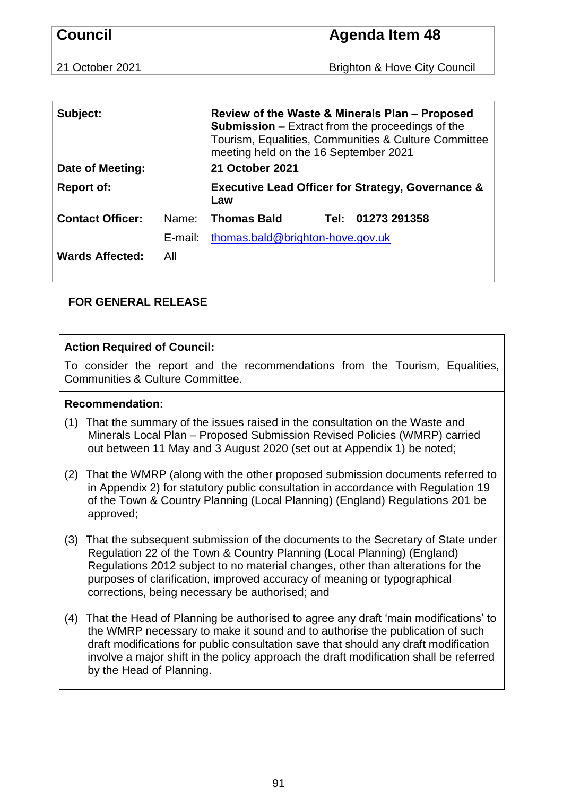| <b>Council</b>  | <b>Agenda Item 48</b>                   |
|-----------------|-----------------------------------------|
| 21 October 2021 | <b>Brighton &amp; Hove City Council</b> |

| Subject:<br>Date of Meeting: |         | Review of the Waste & Minerals Plan – Proposed<br><b>Submission –</b> Extract from the proceedings of the<br>Tourism, Equalities, Communities & Culture Committee<br>meeting held on the 16 September 2021<br>21 October 2021 |      |              |
|------------------------------|---------|-------------------------------------------------------------------------------------------------------------------------------------------------------------------------------------------------------------------------------|------|--------------|
|                              |         |                                                                                                                                                                                                                               |      |              |
| <b>Report of:</b>            |         | <b>Executive Lead Officer for Strategy, Governance &amp;</b><br>Law                                                                                                                                                           |      |              |
| <b>Contact Officer:</b>      | Name:   | <b>Thomas Bald</b>                                                                                                                                                                                                            | Tel: | 01273 291358 |
|                              | E-mail: | thomas.bald@brighton-hove.gov.uk                                                                                                                                                                                              |      |              |
| <b>Wards Affected:</b>       | All     |                                                                                                                                                                                                                               |      |              |

# **FOR GENERAL RELEASE**

# **Action Required of Council:**

To consider the report and the recommendations from the Tourism, Equalities, Communities & Culture Committee.

#### **Recommendation:**

- (1) That the summary of the issues raised in the consultation on the Waste and Minerals Local Plan – Proposed Submission Revised Policies (WMRP) carried out between 11 May and 3 August 2020 (set out at Appendix 1) be noted;
- (2) That the WMRP (along with the other proposed submission documents referred to in Appendix 2) for statutory public consultation in accordance with Regulation 19 of the Town & Country Planning (Local Planning) (England) Regulations 201 be approved;
- (3) That the subsequent submission of the documents to the Secretary of State under Regulation 22 of the Town & Country Planning (Local Planning) (England) Regulations 2012 subject to no material changes, other than alterations for the purposes of clarification, improved accuracy of meaning or typographical corrections, being necessary be authorised; and
- (4) That the Head of Planning be authorised to agree any draft 'main modifications' to the WMRP necessary to make it sound and to authorise the publication of such draft modifications for public consultation save that should any draft modification involve a major shift in the policy approach the draft modification shall be referred by the Head of Planning.